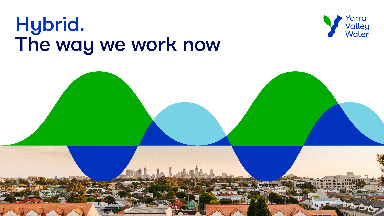# Hybrid. The way we work now





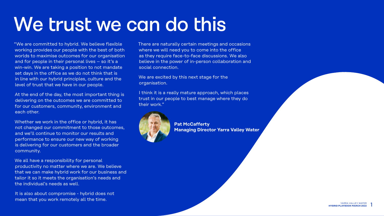1



## We trust we can do this

"We are committed to hybrid. We believe flexible working provides our people with the best of both worlds to maximise outcomes for our organisation and for people in their personal lives - so it's a win-win. We are taking a position to not mandate set days in the office as we do not think that is in line with our hybrid principles, culture and the level of trust that we have in our people.

At the end of the day, the most important thing is delivering on the outcomes we are committed to for our customers, community, environment and each other.

Whether we work in the office or hybrid, it has not changed our commitment to those outcomes, and we'll continue to monitor our results and performance to ensure our new way of working is delivering for our customers and the broader community.

I think it is a really mature approach, which places trust in our people to best manage where they do their work."



We all have a responsibility for personal productivity no matter where we are. We believe that we can make hybrid work for our business and tailor it so it meets the organisation's needs and the individual's needs as well.

It is also about compromise - hybrid does not mean that you work remotely all the time.

There are naturally certain meetings and occasions where we will need you to come into the office as they require face-to-face discussions. We also believe in the power of in-person collaboration and social connection.

We are excited by this next stage for the organisation.

> **Pat McCafferty Managing Director Yarra Valley Water**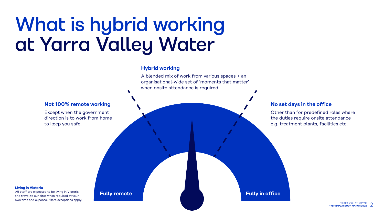YARRA VALLEY WATER<br>**AYBOOK MARCH 2022 HYBRID PLAYBOOK MARCH 2022**





# What is hybrid working at Yarra Valley Water

## **Not 100% remote working**

Except when the government direction is to work from home to keep you safe.

### **Living in Victoria**

All staff are expected to be living in Victoria and travel to our sites when required at your own time and expense. \*Rare exceptions apply.

## **Hybrid working**

A blended mix of work from various spaces + an organisational-wide set of 'moments that matter' when onsite attendance is required.

## **No set days in the office**

Other than for predefined roles where the duties require onsite attendance e.g. treatment plants, facilities etc.

## **Fully remote Fully in office**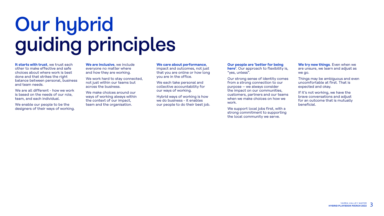



# Our hybrid guiding principles

**It starts with trust**, we trust each other to make effective and safe choices about where work is best done and that strikes the right balance between personal, business and team needs.

We are all different - how we work is based on the needs of our role, team, and each individual.

We enable our people to be the designers of their ways of working.

**We are inclusive**, we include everyone no matter where and how they are working.

We work hard to stay connected, not just within our teams but across the business.

We make choices around our ways of working always within the context of our impact, team and the organisation.

### **We care about performance**,

impact and outcomes, not just that you are online or how long you are in the office.

We each take personal and collective accountability for our ways of working.

Hybrid ways of working is how we do business - it enables our people to do their best job.

### **Our people are 'better for being**

**here'**. Our approach to flexibility is, "yes, unless".

Our strong sense of identity comes from a strong connection to our purpose – we always consider the impact on our communities, customers, partners and our teams when we make choices on how we work.

We support local jobs first, with a strong commitment to supporting the local community we serve.

**We try new things**. Even when we are unsure, we learn and adjust as we go.

Things may be ambiguous and even uncomfortable at first. That is expected and okay.

If it's not working, we have the brave conversations and adjust for an outcome that is mutually beneficial.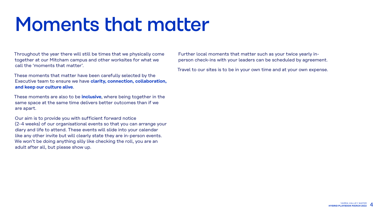



Throughout the year there will still be times that we physically come together at our Mitcham campus and other worksites for what we call the 'moments that matter'.

These moments that matter have been carefully selected by the Executive team to ensure we have **clarity, connection, collaboration, and keep our culture alive**.

These moments are also to be **inclusive**, where being together in the same space at the same time delivers better outcomes than if we are apart.

Our aim is to provide you with sufficient forward notice (2-4 weeks) of our organisational events so that you can arrange your diary and life to attend. These events will slide into your calendar like any other invite but will clearly state they are in-person events. We won't be doing anything silly like checking the roll, you are an adult after all, but please show up.



Further local moments that matter such as your twice yearly inperson check-ins with your leaders can be scheduled by agreement.

Travel to our sites is to be in your own time and at your own expense.

# Moments that matter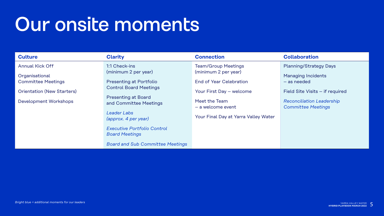





# Our onsite moments

**Organisational** Committee Meetings

Annual Kick Off

Orientation (New Starters)

Development Workshops

1:1 Check-ins (minimum 2 per year)

Presenting at Portfolio Control Board Meetings

Presenting at Board and Committee Meetings

*Leader Labs (approx. 4 per year)*

### **Clarity Connection Connection Collaboration** Team/Group Meetings (minimum 2 per year) End of Year Celebration Your First Day – welcome Meet the Team – a welcome event Your Final Day at Yarra Valley Water Planning/Strategy Days Managing Incidents – as needed Field Site Visits – if required *Reconciliation Leadership Committee Meetings*

*Executive Portfolio Control Board Meetings*

*Board and Sub Committee Meetings*

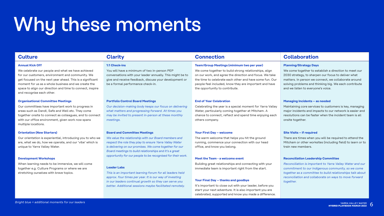# Why these moments

## **Culture Clarity Connection Collaboration**

#### **Annual Kick Off**

We celebrate our people and what we have achieved for our customers, environment and community. We get focused on the next year ahead. This is a significant moment for us as a whole business and we create the space to align our direction and time to connect, inspire and recognise each other.

### **1:1 Check-ins**

You will have a minimum of two in-person PEP conversations with your leader annually. This might be to give and receive feedback, discuss your development or be a formal performance check-in.

### **Team/Group Meetings (minimum two per year)**

We come together to build strong relationships, align on our work, and agree the direction and focus. We take the time to celebrate each other and have some fun. Our people feel included, know they are important and have the opportunity to contribute.

### **Planning/Strategy Days**

We come together to establish a direction to meet our 2030 strategy, to sharpen our focus to deliver what matters. In person we connect, we collaborate around solving problems and thinking big. We each contribute and we listen to everyone's voice.

#### **Organisational Committee Meetings**

Our committees have important work to progress in areas such as DandI, Safe and Well etc. They come together onsite to connect as colleagues, and to connect with our office environment, given work now spans multiple locations.

### **Portfolio Control Board Meetings**

*Our decision-making body keeps our focus on delivering what matters and progressing forward. At times you may be invited to present in-person at these monthly meetings.* 

### **End of Year Celebration**

Celebrating the year is a special moment for Yarra Valley Water, particularly coming together at Mitcham. A chance to connect, reflect and spend time enjoying each others company.

### **Managing Incidents – as needed**

Maintaining core services to customers is key, managing major incidents and impacts to our network is easier and resolutions can be faster when the incident team is all onsite together.

#### **Orientation (New Starters)**

Our orientation is experiential, introducing you to who we are, what we do, how we operate, and our 'vibe' which is unique to Yarra Valley Water.

#### **Development Workshops**

When learning needs to be immersive, we will come together e.g. Culture Programs or where we are stretching ourselves with brave topics.

### **Board and Committee Meetings**

*We value the relationship with our Board members and respect the role they play to ensure Yarra Valley Water is delivering on our promises. We come together for our Board meetings to build relationships and it's a great opportunity for our people to be recognised for their work.*

### **Leader Labs**

*This is an important learning forum for all leaders held approx. four times per year. It is our way of investing in our leaders continual growth so they can serve you better. Additional sessions maybe facilitated remotely.*

### **Your First Day – welcome**

The warm welcome that helps you hit the ground running, commence your connection with our head office, and know you belong.

#### **Meet the Team - a welcome event**

Building great relationships and connecting with your immediate team is important right from the start.

### **Your Final Day – thanks and goodbye**

It's important to close out with your leader, before you start your next adventure. It is also important you are celebrated, supported and know you made a difference.

### **Site Visits – if required**

There are times when you will be required to attend the Mitcham or other worksites (including field) to learn or to train new members.

### **Reconciliation Leadership Committee**

*Reconciliation is important to Yarra Valley Water and our commitment to our Indigenous community, so we come together as a committee to build relationships talk about reconciliation and collaborate on ways to move forward together.*